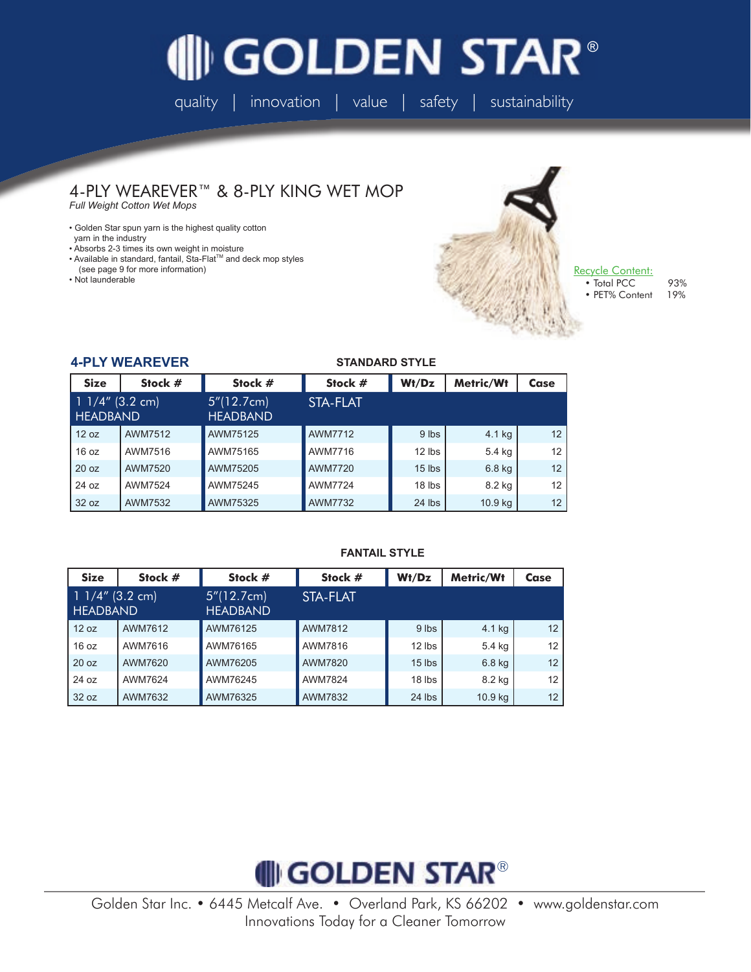# **GOLDEN STAR®**

quality | innovation | value | safety | sustainability

#### 4-PLY WEAREVER™ & 8-PLY KING WET MOP *Full Weight Cotton Wet Mops*

• Golden Star spun yarn is the highest quality cotton

- yarn in the industry
- Absorbs 2-3 times its own weight in moisture
- Available in standard, fantail, Sta-Flat™ and deck mop styles
- (see page 9 for more information)
- Not launderable



Recycle Content: • Total PCC 93%

• PET% Content 19%

#### **4-PLY WEAREVER**

#### **STANDARD STYLE**

| <b>Size</b>                          | Stock # | Stock #                        | Stock #        | Wt/Dz    | Metric/Wt | Case |
|--------------------------------------|---------|--------------------------------|----------------|----------|-----------|------|
| $11/4''$ (3.2 cm)<br><b>HEADBAND</b> |         | 5''(12.7cm)<br><b>HEADBAND</b> | STA-FLAT       |          |           |      |
| 12 oz                                | AWM7512 | AWM75125                       | AWM7712        | 9 lbs    | 4.1 kg    | 12   |
| 16 oz                                | AWM7516 | AWM75165                       | AWM7716        | $12$ lbs | 5.4 kg    | 12   |
| 20 oz                                | AWM7520 | AWM75205                       | AWM7720        | $15$ lbs | $6.8$ kg  | 12   |
| 24 oz                                | AWM7524 | AWM75245                       | <b>AWM7724</b> | 18 lbs   | 8.2 kg    | 12   |
| 32 oz                                | AWM7532 | AWM75325                       | AWM7732        | 24 lbs   | 10.9 kg   | 12   |

### **FANTAIL STYLE**

| <b>Size</b>                          | Stock # | Stock #                        | Stock #  | Wt/Dz    | Metric/Wt | Case |
|--------------------------------------|---------|--------------------------------|----------|----------|-----------|------|
| $11/4''$ (3.2 cm)<br><b>HEADBAND</b> |         | 5''(12.7cm)<br><b>HEADBAND</b> | STA-FLAT |          |           |      |
| 12 oz                                | AWM7612 | AWM76125                       | AWM7812  | 9 lbs    | 4.1 kg    | 12   |
| 16 oz                                | AWM7616 | AWM76165                       | AWM7816  | $12$ lbs | 5.4 kg    | 12   |
| 20 oz                                | AWM7620 | AWM76205                       | AWM7820  | $15$ lbs | $6.8$ kg  | 12   |
| 24 oz                                | AWM7624 | AWM76245                       | AWM7824  | 18 lbs   | 8.2 kg    | 12   |
| 32 oz                                | AWM7632 | AWM76325                       | AWM7832  | $24$ lbs | 10.9 kg   | 12   |